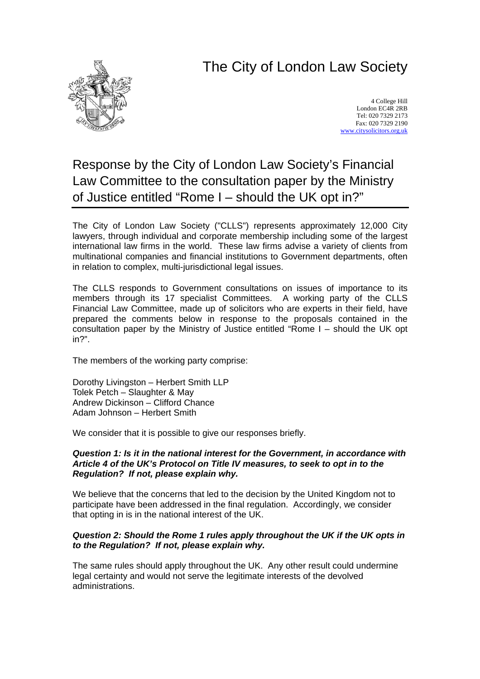# The City of London Law Society



4 College Hill London EC4R 2RB Tel: 020 7329 2173 Fax: 020 7329 2190 [www.citysolicitors.org.uk](http://www.citysolicitors.org.uk/)

## Response by the City of London Law Society's Financial Law Committee to the consultation paper by the Ministry of Justice entitled "Rome I – should the UK opt in?"

The City of London Law Society ("CLLS") represents approximately 12,000 City lawyers, through individual and corporate membership including some of the largest international law firms in the world. These law firms advise a variety of clients from multinational companies and financial institutions to Government departments, often in relation to complex, multi-jurisdictional legal issues.

The CLLS responds to Government consultations on issues of importance to its members through its 17 specialist Committees. A working party of the CLLS Financial Law Committee, made up of solicitors who are experts in their field, have prepared the comments below in response to the proposals contained in the consultation paper by the Ministry of Justice entitled "Rome I – should the UK opt in?".

The members of the working party comprise:

Dorothy Livingston – Herbert Smith LLP Tolek Petch – Slaughter & May Andrew Dickinson – Clifford Chance Adam Johnson – Herbert Smith

We consider that it is possible to give our responses briefly.

### *Question 1: Is it in the national interest for the Government, in accordance with Article 4 of the UK's Protocol on Title IV measures, to seek to opt in to the Regulation? If not, please explain why.*

We believe that the concerns that led to the decision by the United Kingdom not to participate have been addressed in the final regulation. Accordingly, we consider that opting in is in the national interest of the UK.

### *Question 2: Should the Rome 1 rules apply throughout the UK if the UK opts in to the Regulation? If not, please explain why.*

The same rules should apply throughout the UK. Any other result could undermine legal certainty and would not serve the legitimate interests of the devolved administrations.